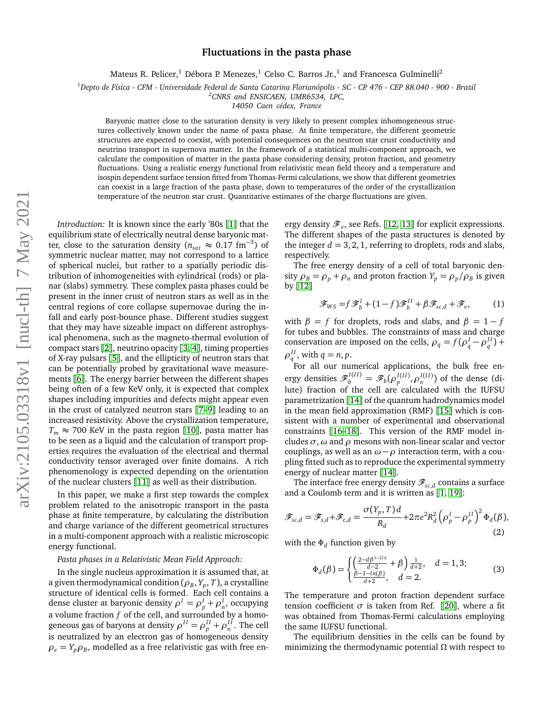## **Fluctuations in the pasta phase**

Mateus R. Pelicer, $^1$  Débora P. Menezes, $^1$  Celso C. Barros Jr., $^1$  and Francesca Gulminelli $^2$ 

*<sup>1</sup>Depto de Física - CFM - Universidade Federal de Santa Catarina Florianópolis - SC - CP. 476 - CEP 88.040 - 900 - Brazil*

*<sup>2</sup>CNRS and ENSICAEN, UMR6534, LPC,*

*14050 Caen cédex, France*

Baryonic matter close to the saturation density is very likely to present complex inhomogeneous structures collectively known under the name of pasta phase. At finite temperature, the different geometric structures are expected to coexist, with potential consequences on the neutron star crust conductivity and neutrino transport in supernova matter. In the framework of a statistical multi-component approach, we calculate the composition of matter in the pasta phase considering density, proton fraction, and geometry fluctuations. Using a realistic energy functional from relativistic mean field theory and a temperature and isospin dependent surface tension fitted from Thomas-Fermi calculations, we show that different geometries can coexist in a large fraction of the pasta phase, down to temperatures of the order of the crystallization temperature of the neutron star crust. Quantitative estimates of the charge fluctuations are given.

*Introduction:* It is known since the early '80s [[1](#page-4-0)] that the equilibrium state of electrically neutral dense baryonic matter, close to the saturation density ( $n_{sat} \approx 0.17$  fm<sup>-3</sup>) of symmetric nuclear matter, may not correspond to a lattice of spherical nuclei, but rather to a spatially periodic distribution of inhomogeneities with cylindrical (rods) or planar (slabs) symmetry. These complex pasta phases could be present in the inner crust of neutron stars as well as in the central regions of core collapse supernovae during the infall and early post-bounce phase. Different studies suggest that they may have sizeable impact on different astrophysical phenomena, such as the magneto-thermal evolution of compact stars [[2](#page-4-1)], neutrino opacity [[3,](#page-4-2) [4](#page-4-3)], timing properties of X-ray pulsars [[5](#page-4-4)], and the ellipticity of neutron stars that can be potentially probed by gravitational wave measurements [[6](#page-4-5)]. The energy barrier between the different shapes being often of a few KeV only, it is expected that complex shapes including impurities and defects might appear even in the crust of catalyzed neutron stars [[7](#page-4-6)[–9](#page-4-7)] leading to an increased resistivity. Above the crystallization temperature,  $T_m \approx 700$  KeV in the pasta region [[10](#page-4-8)], pasta matter has to be seen as a liquid and the calculation of transport properties requires the evaluation of the electrical and thermal conductivity tensor averaged over finite domains. A rich phenomenology is expected depending on the orientation of the nuclear clusters [[11](#page-4-9)] as well as their distribution.

In this paper, we make a first step towards the complex problem related to the anisotropic transport in the pasta phase at finite temperature, by calculating the distribution and charge variance of the different geometrical structures in a multi-component approach with a realistic microscopic energy functional.

## *Pasta phases in a Relativistic Mean Field Approach:*

In the single nucleus approximation it is assumed that, at a given thermodynamical condition ( $\rho_{B}, Y_{p}, T$  ), a crystalline structure of identical cells is formed. Each cell contains a dense cluster at baryonic density  $\rho^I = \rho_p^I + \rho_n^I$ , occupying a volume fraction *f* of the cell, and surrounded by a homogeneous gas of baryons at density  $\rho^{II} = \rho^{II}_p + \rho^{II}_n$ . The cell is neutralized by an electron gas of homogeneous density  $\rho_e = Y_p \rho_B$ , modelled as a free relativistic gas with free en-

ergy density  $\mathscr{F}_e$ , see Refs. [[12,](#page-4-10) [13](#page-4-11)] for explicit expressions. The different shapes of the pasta structures is denoted by the integer  $d = 3, 2, 1$ , referring to droplets, rods and slabs, respectively.

The free energy density of a cell of total baryonic density  $\rho_B = \rho_p + \rho_n$  and proton fraction  $Y_p = \rho_p / \rho_B$  is given by  $\lceil 12 \rceil$  $\lceil 12 \rceil$  $\lceil 12 \rceil$ 

$$
\mathcal{F}_{WS} = f \mathcal{F}_b^I + (1 - f) \mathcal{F}_b^{II} + \beta \mathcal{F}_{sc,d} + \mathcal{F}_e, \qquad (1)
$$

with  $\beta = f$  for droplets, rods and slabs, and  $\beta = 1 - f$ for tubes and bubbles. The constraints of mass and charge conservation are imposed on the cells,  $\rho_q = f(\rho_q^I - \rho_q^{II}) +$  $\rho_q^{II}$ , with  $q = n, p$ .

For all our numerical applications, the bulk free energy densities  $\mathscr{F}_b^{I(II)} = \mathscr{F}_b(\rho_p^{I(II)}, \rho_n^{I(II)})$  of the dense (dilute) fraction of the cell are calculated with the IUFSU parametrization [[14](#page-4-12)] of the quantum hadrodynamics model in the mean field approximation (RMF) [[15](#page-4-13)] which is consistent with a number of experimental and observational constraints [[16](#page-4-14)[–18](#page-4-15)]. This version of the RMF model includes *σ*,*ω* and *ρ* mesons with non-linear scalar and vector couplings, as well as an  $\omega - \rho$  interaction term, with a coupling fitted such as to reproduce the experimental symmetry energy of nuclear matter [[14](#page-4-12)].

The interface free energy density  $\mathscr{F}_{sc,d}$  contains a surface and a Coulomb term and it is written as  $[1, 19]$  $[1, 19]$  $[1, 19]$  $[1, 19]$ :

$$
\mathscr{F}_{sc,d} = \mathscr{F}_{s,d} + \mathscr{F}_{c,d} = \frac{\sigma(Y_p, T)d}{R_d} + 2\pi e^2 R_d^2 \left(\rho_p^I - \rho_p^{II}\right)^2 \Phi_d(\beta),\tag{2}
$$

with the *Φ<sup>d</sup>* function given by

$$
\Phi_d(\beta) = \begin{cases} \left(\frac{2-d\beta^{1-2/d}}{d-2} + \beta\right) \frac{1}{d+2}, & d = 1,3; \\ \frac{\beta - 1 - \ln(\beta)}{d+2}, & d = 2. \end{cases}
$$
(3)

The temperature and proton fraction dependent surface tension coefficient  $\sigma$  is taken from Ref. [[20](#page-5-1)], where a fit was obtained from Thomas-Fermi calculations employing the same IUFSU functional.

The equilibrium densities in the cells can be found by minimizing the thermodynamic potential *Ω* with respect to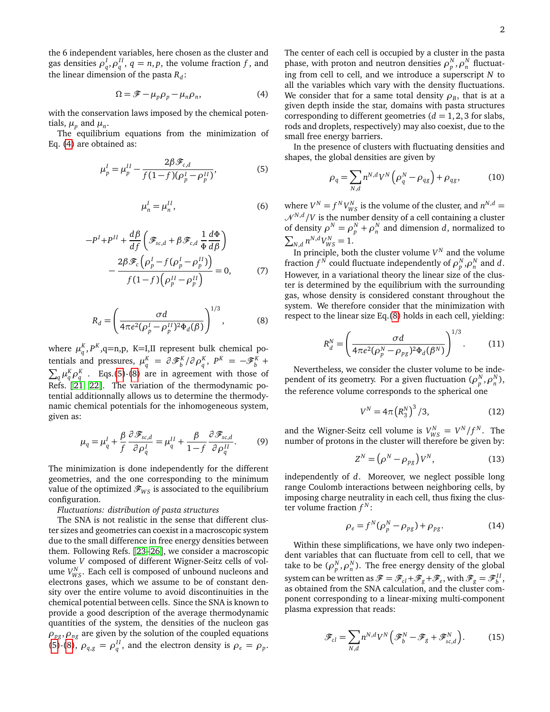the 6 independent variables, here chosen as the cluster and gas densities  $\rho_q^I$ ,  $\rho_q^{II}$ ,  $q = n, p$ , the volume fraction *f*, and the linear dimension of the pasta *R<sup>d</sup>* :

<span id="page-1-0"></span>
$$
\Omega = \mathcal{F} - \mu_p \rho_p - \mu_n \rho_n,\tag{4}
$$

with the conservation laws imposed by the chemical potentials,  $\mu_p$  and  $\mu_n$ .

The equilibrium equations from the minimization of Eq. [\(4\)](#page-1-0) are obtained as:

$$
\mu_p^I = \mu_p^{II} - \frac{2\beta \mathcal{F}_{c,d}}{f(1-f)(\rho_p^I - \rho_p^{II})},
$$
\n(5)

$$
\mu_n^I = \mu_n^{II},\tag{6}
$$

$$
-P^{I} + P^{II} + \frac{d\beta}{df} \left( \mathcal{F}_{sc,d} + \beta \mathcal{F}_{c,d} \frac{1}{\Phi} \frac{d\Phi}{d\beta} \right)
$$

$$
- \frac{2\beta \mathcal{F}_{c} \left( \rho_{p}^{I} - f(\rho_{p}^{I} - \rho_{p}^{II}) \right)}{f(1-f) \left( \rho_{p}^{II} - \rho_{p}^{II} \right)} = 0, \qquad (7)
$$

$$
R_d = \left(\frac{\sigma d}{4\pi e^2(\rho_p^I - \rho_p^{II})^2 \Phi_d(\beta)}\right)^{1/3},\tag{8}
$$

where  $\mu_q^K$ ,  $P^K$ ,  $q=n,p$ ,  $K=I,II$  represent bulk chemical potentials and pressures,  $\mu_q^K = \partial \mathcal{F}_b^K / \partial \rho_q^K$ ,  $P^K = -\mathcal{F}_b^K + \partial \rho_k^K$  $\sum_{q} \mu_q^K \rho_q^K$  . Eqs.[\(5\)](#page-1-1)-[\(8\)](#page-1-2) are in agreement with those of Refs. [[21,](#page-5-2) [22](#page-5-3)]. The variation of the thermodynamic potential additionnally allows us to determine the thermodynamic chemical potentials for the inhomogeneous system, given as:

<span id="page-1-3"></span>
$$
\mu_q = \mu_q^I + \frac{\beta}{f} \frac{\partial \mathcal{F}_{sc,d}}{\partial \rho_q^I} = \mu_q^{II} + \frac{\beta}{1 - f} \frac{\partial \mathcal{F}_{sc,d}}{\partial \rho_q^{II}}.
$$
 (9)

The minimization is done independently for the different geometries, and the one corresponding to the minimum value of the optimized  $\mathcal{F}_{WS}$  is associated to the equilibrium configuration.

## *Fluctuations: distribution of pasta structures*

The SNA is not realistic in the sense that different cluster sizes and geometries can coexist in a macroscopic system due to the small difference in free energy densities between them. Following Refs. [[23](#page-5-4)[–26](#page-5-5)], we consider a macroscopic volume *V* composed of different Wigner-Seitz cells of volume  $V_{WS}^N$ . Each cell is composed of unbound nucleons and electrons gases, which we assume to be of constant density over the entire volume to avoid discontinuities in the chemical potential between cells. Since the SNA is known to provide a good description of the average thermodynamic quantities of the system, the densities of the nucleon gas  $\rho_{pg}, \rho_{ng}$  are given by the solution of the coupled equations [\(5\)](#page-1-1)-[\(8\)](#page-1-2),  $\rho_{q,g} = \rho_q^{II}$ , and the electron density is  $\rho_e = \rho_p$ .

The center of each cell is occupied by a cluster in the pasta phase, with proton and neutron densities  $\rho_p^N, \rho_n^N$  fluctuating from cell to cell, and we introduce a superscript *N* to all the variables which vary with the density fluctuations. We consider that for a same total density  $\rho_{B}$ , that is at a given depth inside the star, domains with pasta structures corresponding to different geometries  $(d = 1, 2, 3$  for slabs, rods and droplets, respectively) may also coexist, due to the small free energy barriers.

<span id="page-1-1"></span>In the presence of clusters with fluctuating densities and shapes, the global densities are given by

<span id="page-1-4"></span>
$$
\rho_q = \sum_{N,d} n^{N,d} V^N \left( \rho_q^N - \rho_{qg} \right) + \rho_{qg}, \qquad (10)
$$

where  $V^N = f^N V^N_{WS}$  is the volume of the cluster, and  $n^{N,d} =$  $\mathcal{N}^{N,d}/V$  is the number density of a cell containing a cluster of density  $\rho^N = \rho^N_p + \rho^N_n$  and dimension *d*, normalized to  $\sum_{N,d} n^{N,d} V_{WS}^N = 1.$ 

In principle, both the cluster volume  $V^N$  and the volume fraction  $f^N$  could fluctuate independently of  $\rho_p^N, \rho_n^N$  and  $d$ . However, in a variational theory the linear size of the cluster is determined by the equilibrium with the surrounding gas, whose density is considered constant throughout the system. We therefore consider that the minimization with respect to the linear size Eq.[\(8\)](#page-1-2) holds in each cell, yielding:

$$
R_d^N = \left(\frac{\sigma d}{4\pi e^2 (\rho_p^N - \rho_{pg})^2 \Phi_d(\beta^N)}\right)^{1/3}.
$$
 (11)

<span id="page-1-2"></span>Nevertheless, we consider the cluster volume to be independent of its geometry. For a given fluctuation  $(\rho_p^N, \rho_n^N)$ , the reference volume corresponds to the spherical one

<span id="page-1-6"></span>
$$
V^{N} = 4\pi \left( R_3^{N} \right)^3 / 3, \tag{12}
$$

and the Wigner-Seitz cell volume is  $V_{WS}^N = V^N/f^N$ . The number of protons in the cluster will therefore be given by:

$$
Z^N = \left(\rho^N - \rho_{pg}\right) V^N,\tag{13}
$$

independently of *d*. Moreover, we neglect possible long range Coulomb interactions between neighboring cells, by imposing charge neutrality in each cell, thus fixing the cluster volume fraction  $f^N$ :

<span id="page-1-5"></span>
$$
\rho_e = f^N(\rho_p^N - \rho_{pg}) + \rho_{pg}.\tag{14}
$$

Within these simplifications, we have only two independent variables that can fluctuate from cell to cell, that we take to be  $(\rho _{p}^{N},\rho _{n}^{N}).$  The free energy density of the global system can be written as  $\mathscr{F} = \mathscr{F}_{cl} + \mathscr{F}_{g} + \mathscr{F}_{e}$ , with  $\mathscr{F}_{g} = \mathscr{F}_{b}^{II}$ , as obtained from the SNA calculation, and the cluster component corresponding to a linear-mixing multi-component plasma expression that reads:

$$
\mathcal{F}_{cl} = \sum_{N,d} n^{N,d} V^N \left( \mathcal{F}_b^N - \mathcal{F}_g + \mathcal{F}_{sc,d}^N \right). \tag{15}
$$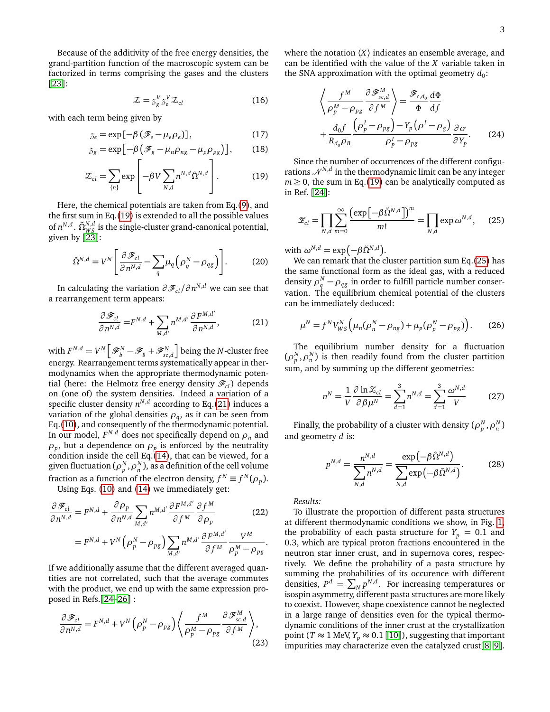Because of the additivity of the free energy densities, the grand-partition function of the macroscopic system can be factorized in terms comprising the gases and the clusters [[23](#page-5-4)]:

$$
\mathcal{Z} = \mathcal{Z}_g^V \mathcal{Z}_g^V \mathcal{Z}_{cl} \tag{16}
$$

with each term being given by

$$
S_e = \exp[-\beta (\mathcal{F}_e - \mu_e \rho_e)], \tag{17}
$$

$$
S_g = \exp\left[-\beta \left(\mathcal{F}_g - \mu_n \rho_{ng} - \mu_p \rho_{pg}\right)\right],\tag{18}
$$

$$
\mathcal{Z}_{cl} = \sum_{\{n\}} \exp\left[-\beta V \sum_{N,d} n^{N,d} \tilde{\Omega}^{N,d}\right].
$$
 (19)

Here, the chemical potentials are taken from Eq.[\(9\)](#page-1-3), and the first sum in Eq.[\(19\)](#page-2-0) is extended to all the possible values of  $n^{N,d}$ .  $\tilde{\Omega}_{WS}^{N,d}$  is the single-cluster grand-canonical potential, given by  $\left[2\right.3\right]$ :

$$
\tilde{\Omega}^{N,d} = V^N \left[ \frac{\partial \mathcal{F}_{cl}}{\partial n^{N,d}} - \sum_{q} \mu_q \left( \rho_q^N - \rho_{qg} \right) \right].
$$
 (20)

In calculating the variation  $\partial \mathscr{F}_{cl} / \partial \mathit{n}^{N,d}$  we can see that a rearrangement term appears:

$$
\frac{\partial \mathcal{F}_{cl}}{\partial n^{N,d}} = F^{N,d} + \sum_{M,d'} n^{M,d'} \frac{\partial F^{M,d'}}{\partial n^{N,d}},
$$
(21)

with  $F^{N,d} = V^N \Big[ \mathscr{F}^N_b - \mathscr{F}_{g} + \mathscr{F}^N_{sc,d} \Big]$  being the *N*-cluster free energy. Rearrangement terms systematically appear in thermodynamics when the appropriate thermodynamic potential (here: the Helmotz free energy density  $\mathcal{F}_{cl}$ ) depends on (one of) the system densities. Indeed a variation of a specific cluster density  $n^{N,d}$  according to Eq.[\(21\)](#page-2-1) induces a variation of the global densities  $\rho_q$ , as it can be seen from Eq.[\(10\)](#page-1-4), and consequently of the thermodynamic potential. In our model,  $F^{N,d}$  does not specifically depend on  $\rho_n$  and  $\rho_p$ , but a dependence on  $\rho_p$  is enforced by the neutrality condition inside the cell Eq. $(14)$ , that can be viewed, for a given fluctuation ( $\rho^N_{p},\rho^N_{n}$ ), as a definition of the cell volume fraction as a function of the electron density,  $f^N \equiv f^N(\rho_p)$ .

Using Eqs. [\(10\)](#page-1-4) and [\(14\)](#page-1-5) we immediately get:

$$
\frac{\partial \mathcal{F}_{cl}}{\partial n^{N,d}} = F^{N,d} + \frac{\partial \rho_p}{\partial n^{N,d}} \sum_{M,d'} n^{M,d'} \frac{\partial F^{M,d'}}{\partial f^M} \frac{\partial f^M}{\partial \rho_p}
$$
(22)  

$$
= F^{N,d} + V^N \left( \rho_p^N - \rho_{pg} \right) \sum_{M,d'} n^{M,d'} \frac{\partial F^{M,d'}}{\partial f^M} \frac{V^M}{\rho_p^M - \rho_{pg}}.
$$

If we additionally assume that the different averaged quantities are not correlated, such that the average commutes with the product, we end up with the same expression proposed in Refs.[[24](#page-5-6)[–26](#page-5-5)] :

$$
\frac{\partial \mathcal{F}_{cl}}{\partial n^{N,d}} = F^{N,d} + V^N \left( \rho_p^N - \rho_{pg} \right) \left\langle \frac{f^M}{\rho_p^M - \rho_{pg}} \frac{\partial \mathcal{F}_{sc,d}^M}{\partial f^M} \right\rangle, \tag{23}
$$

where the notation  $\langle X \rangle$  indicates an ensemble average, and can be identified with the value of the *X* variable taken in the SNA approximation with the optimal geometry  $d_0$ :

$$
\left\langle \frac{f^M}{\rho_p^M - \rho_{pg}} \frac{\partial \mathcal{F}_{sc,d}^M}{\partial f^M} \right\rangle = \frac{\mathcal{F}_{c,d_0}}{\Phi} \frac{d\Phi}{df}
$$

$$
+ \frac{d_0 f}{R_{d_0} \rho_B} \frac{(\rho_p^I - \rho_{pg}) - Y_p (\rho^I - \rho_g)}{\rho_p^I - \rho_{pg}} \frac{\partial \sigma}{\partial Y_p}.
$$
(24)

<span id="page-2-0"></span>Since the number of occurrences of the different configurations  $\mathcal{N}^{N,d}$  in the thermodynamic limit can be any integer  $m \geq 0$ , the sum in Eq.[\(19\)](#page-2-0) can be analytically computed as in Ref. [[24](#page-5-6)]:

<span id="page-2-2"></span>
$$
\mathscr{Z}_{cl} = \prod_{N,d} \sum_{m=0}^{\infty} \frac{\left(\exp\left[-\beta \tilde{\Omega}^{N,d}\right]\right)^m}{m!} = \prod_{N,d} \exp \omega^{N,d}, \quad (25)
$$

with  $\omega^{N,d} = \exp(-\beta \tilde{\Omega}^{N,d}).$ 

We can remark that the cluster partition sum Eq.[\(25\)](#page-2-2) has the same functional form as the ideal gas, with a reduced density  $\rho_q^N - \rho_{qg}$  in order to fulfill particle number conservation. The equilibrium chemical potential of the clusters can be immediately deduced:

$$
\mu^N = f^N V_{WS}^N \left( \mu_n (\rho_n^N - \rho_{ng}) + \mu_p (\rho_p^N - \rho_{pg}) \right). \tag{26}
$$

<span id="page-2-1"></span>The equilibrium number density for a fluctuation  $(\rho_p^N, \rho_n^N)$  is then readily found from the cluster partition sum, and by summing up the different geometries:

$$
n^N = \frac{1}{V} \frac{\partial \ln \mathcal{Z}_{cl}}{\partial \beta \mu^N} = \sum_{d=1}^3 n^{N,d} = \sum_{d=1}^3 \frac{\omega^{N,d}}{V} \tag{27}
$$

Finally, the probability of a cluster with density  $(\rho_p^N,\rho_n^N)$ and geometry *d* is:

$$
p^{N,d} = \frac{n^{N,d}}{\sum_{N,d} n^{N,d}} = \frac{\exp\left(-\beta \tilde{\Omega}^{N,d}\right)}{\sum_{N,d} \exp\left(-\beta \tilde{\Omega}^{N,d}\right)}.
$$
 (28)

*Results:*

To illustrate the proportion of different pasta structures at different thermodynamic conditions we show, in Fig. [1,](#page-3-0) the probability of each pasta structure for  $Y_p = 0.1$  and 0.3, which are typical proton fractions encountered in the neutron star inner crust, and in supernova cores, respectively. We define the probability of a pasta structure by summing the probabilities of its occurence with different densities,  $P^d = \sum_N p^{N,d}$ . For increasing temperatures or isospin asymmetry, different pasta structures are more likely to coexist. However, shape coexistence cannot be neglected in a large range of densities even for the typical thermodynamic conditions of the inner crust at the crystallization point (*T*  $\approx$  1 MeV, *Y<sub>p</sub>*  $\approx$  0.1 [[10](#page-4-8)]), suggesting that important impurities may characterize even the catalyzed crust[[8,](#page-4-16) [9](#page-4-7)].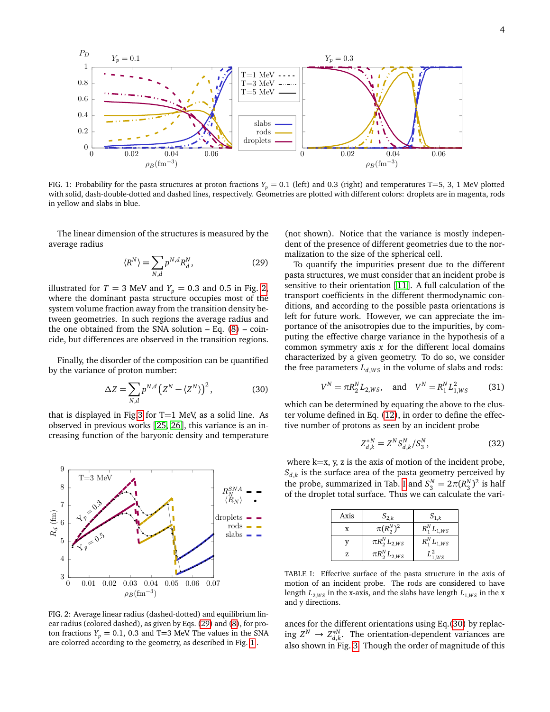

<span id="page-3-0"></span>FIG. 1: Probability for the pasta structures at proton fractions  $Y_p = 0.1$  (left) and 0.3 (right) and temperatures T=5, 3, 1 MeV plotted with solid, dash-double-dotted and dashed lines, respectively. Geometries are plotted with different colors: droplets are in magenta, rods in yellow and slabs in blue.

The linear dimension of the structures is measured by the average radius

<span id="page-3-2"></span>
$$
\langle R^N \rangle = \sum_{N,d} p^{N,d} R_d^N,\tag{29}
$$

illustrated for  $T = 3$  MeV and  $Y_p = 0.3$  and 0.5 in Fig. [2,](#page-3-1) where the dominant pasta structure occupies most of the system volume fraction away from the transition density between geometries. In such regions the average radius and the one obtained from the SNA solution  $-$  Eq. [\(8\)](#page-1-2)  $-$  coincide, but differences are observed in the transition regions.

Finally, the disorder of the composition can be quantified by the variance of proton number:

<span id="page-3-4"></span>
$$
\Delta Z = \sum_{N,d} p^{N,d} \left( Z^N - \langle Z^N \rangle \right)^2, \tag{30}
$$

that is displayed in Fig[.3](#page-4-17) for  $T=1$  MeV, as a solid line. As observed in previous works [[25,](#page-5-7) [26](#page-5-5)], this variance is an increasing function of the baryonic density and temperature



<span id="page-3-1"></span>FIG. 2: Average linear radius (dashed-dotted) and equilibrium linear radius (colored dashed), as given by Eqs. [\(29\)](#page-3-2) and [\(8\)](#page-1-2), for proton fractions  $Y_p = 0.1$ , 0.3 and T=3 MeV. The values in the SNA are colorred according to the geometry, as described in Fig. [1](#page-3-0) .

(not shown). Notice that the variance is mostly independent of the presence of different geometries due to the normalization to the size of the spherical cell.

To quantify the impurities present due to the different pasta structures, we must consider that an incident probe is sensitive to their orientation [[11](#page-4-9)]. A full calculation of the transport coefficients in the different thermodynamic conditions, and according to the possible pasta orientations is left for future work. However, we can appreciate the importance of the anisotropies due to the impurities, by computing the effective charge variance in the hypothesis of a common symmetry axis *x* for the different local domains characterized by a given geometry. To do so, we consider the free parameters  $L_{d,WS}$  in the volume of slabs and rods:

$$
V^N = \pi R_2^N L_{2,WS}, \quad \text{and} \quad V^N = R_1^N L_{1,WS}^2 \tag{31}
$$

which can be determined by equating the above to the cluster volume defined in Eq. [\(12\)](#page-1-6), in order to define the effective number of protons as seen by an incident probe

$$
Z_{d,k}^{*N} = Z^N S_{d,k}^N / S_3^N, \tag{32}
$$

where  $k=x$ ,  $y$ ,  $z$  is the axis of motion of the incident probe,  $S_{d,k}$  is the surface area of the pasta geometry perceived by the probe, summarized in Tab. [I](#page-3-3) and  $S_3^N = 2\pi (R_3^N)^2$  is half of the droplet total surface. Thus we can calculate the vari-

| Axis | $S_{2,k}$           | $S_{1,k}$       |
|------|---------------------|-----------------|
| X    | $\pi(R_\gamma^N)^2$ | $R_1^NL_{1,WS}$ |
|      | $\pi R_2^NL_{2,WS}$ | $R_1^NL_{1,WS}$ |
| Z.   | $\pi R_2^NL_{2,WS}$ | WS              |

<span id="page-3-3"></span>TABLE I: Effective surface of the pasta structure in the axis of motion of an incident probe. The rods are considered to have length  $L_{2,WS}$  in the x-axis, and the slabs have length  $L_{1,WS}$  in the x and y directions.

ances for the different orientations using Eq.[\(30\)](#page-3-4) by replacing  $Z^N \to Z_{d,k}^{*N}$ . The orientation-dependent variances are also shown in Fig. [3.](#page-4-17) Though the order of magnitude of this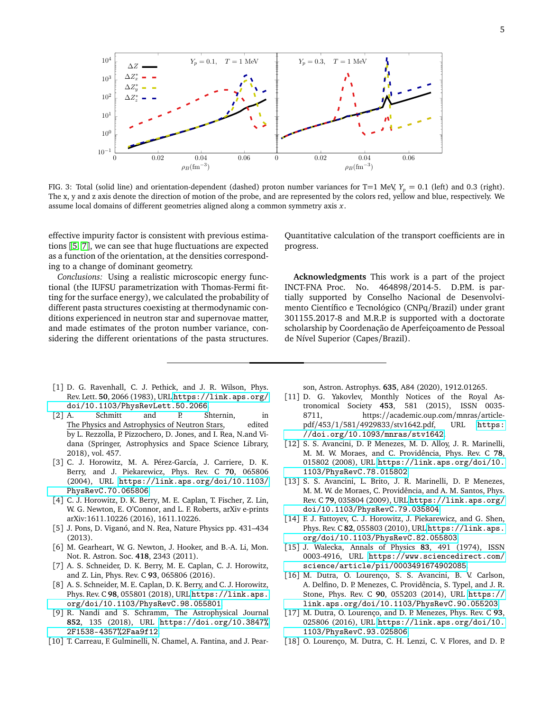

<span id="page-4-17"></span>FIG. 3: Total (solid line) and orientation-dependent (dashed) proton number variances for T=1 MeV,  $Y_p = 0.1$  (left) and 0.3 (right). The x, y and z axis denote the direction of motion of the probe, and are represented by the colors red, yellow and blue, respectively. We assume local domains of different geometries aligned along a common symmetry axis *x*.

effective impurity factor is consistent with previous estimations [[5,](#page-4-4) [7](#page-4-6)], we can see that huge fluctuations are expected as a function of the orientation, at the densities corresponding to a change of dominant geometry.

*Conclusions:* Using a realistic microscopic energy functional (the IUFSU parametrization with Thomas-Fermi fitting for the surface energy), we calculated the probability of different pasta structures coexisting at thermodynamic conditions experienced in neutron star and supernovae matter, and made estimates of the proton number variance, considering the different orientations of the pasta structures.

- <span id="page-4-0"></span>[1] D. G. Ravenhall, C. J. Pethick, and J. R. Wilson, Phys. Rev. Lett. **50**, 2066 (1983), URL [https://link.aps.org/](https://link.aps.org/doi/10.1103/PhysRevLett.50.2066) [doi/10.1103/PhysRevLett.50.2066](https://link.aps.org/doi/10.1103/PhysRevLett.50.2066).
- <span id="page-4-1"></span>[2] A. Schmitt and P. Shternin, in The Physics and Astrophysics of Neutron Stars, edited The Physics and Astrophysics of Neutron Stars, by L. Rezzolla, P. Pizzochero, D. Jones, and I. Rea, N.and Vidana (Springer, Astrophysics and Space Science Library, 2018), vol. 457.
- <span id="page-4-2"></span>[3] C. J. Horowitz, M. A. Pérez-García, J. Carriere, D. K. Berry, and J. Piekarewicz, Phys. Rev. C **70**, 065806 (2004), URL [https://link.aps.org/doi/10.1103/](https://link.aps.org/doi/10.1103/PhysRevC.70.065806) [PhysRevC.70.065806](https://link.aps.org/doi/10.1103/PhysRevC.70.065806).
- <span id="page-4-3"></span>[4] C. J. Horowitz, D. K. Berry, M. E. Caplan, T. Fischer, Z. Lin, W. G. Newton, E. O'Connor, and L. F. Roberts, arXiv e-prints arXiv:1611.10226 (2016), 1611.10226.
- <span id="page-4-4"></span>[5] J. Pons, D. Viganó, and N. Rea, Nature Physics pp. 431–434 (2013).
- <span id="page-4-5"></span>[6] M. Gearheart, W. G. Newton, J. Hooker, and B.-A. Li, Mon. Not. R. Astron. Soc. **418**, 2343 (2011).
- <span id="page-4-6"></span>[7] A. S. Schneider, D. K. Berry, M. E. Caplan, C. J. Horowitz, and Z. Lin, Phys. Rev. C **93**, 065806 (2016).
- <span id="page-4-16"></span>[8] A. S. Schneider, M. E. Caplan, D. K. Berry, and C. J. Horowitz, Phys. Rev. C **98**, 055801 (2018), URL [https://link.aps.](https://link.aps.org/doi/10.1103/PhysRevC.98.055801) [org/doi/10.1103/PhysRevC.98.055801](https://link.aps.org/doi/10.1103/PhysRevC.98.055801).
- <span id="page-4-7"></span>[9] R. Nandi and S. Schramm, The Astrophysical Journal **852**, 135 (2018), URL [https://doi.org/10.3847%](https://doi.org/10.3847%2F1538-4357%2Faa9f12) [2F1538-4357%2Faa9f12](https://doi.org/10.3847%2F1538-4357%2Faa9f12).
- <span id="page-4-8"></span>[10] T. Carreau, F. Gulminelli, N. Chamel, A. Fantina, and J. Pear-

Quantitative calculation of the transport coefficients are in progress.

**Acknowledgments** This work is a part of the project INCT-FNA Proc. No. 464898/2014-5. D.P.M. is partially supported by Conselho Nacional de Desenvolvimento Científico e Tecnológico (CNPq/Brazil) under grant 301155.2017-8 and M.R.P. is supported with a doctorate scholarship by Coordenação de Aperfeiçoamento de Pessoal de Nível Superior (Capes/Brazil).

son, Astron. Astrophys. **635**, A84 (2020), 1912.01265.

- <span id="page-4-9"></span>[11] D. G. Yakovlev, Monthly Notices of the Royal Astronomical Society **453**, 581 (2015), ISSN 0035- 8711, https://academic.oup.com/mnras/article-<br>pdf/453/1/581/4929833/stv1642.pdf, URL https: pdf/453/1/581/4929833/stv1642.pdf, [//doi.org/10.1093/mnras/stv1642](https://doi.org/10.1093/mnras/stv1642).
- <span id="page-4-10"></span>[12] S. S. Avancini, D. P. Menezes, M. D. Alloy, J. R. Marinelli, M. M. W. Moraes, and C. Providência, Phys. Rev. C **78**, 015802 (2008), URL [https://link.aps.org/doi/10.](https://link.aps.org/doi/10.1103/PhysRevC.78.015802) [1103/PhysRevC.78.015802](https://link.aps.org/doi/10.1103/PhysRevC.78.015802).
- <span id="page-4-11"></span>[13] S. S. Avancini, L. Brito, J. R. Marinelli, D. P. Menezes, M. M. W. de Moraes, C. Providência, and A. M. Santos, Phys. Rev. C **79**, 035804 (2009), URL [https://link.aps.org/](https://link.aps.org/doi/10.1103/PhysRevC.79.035804) [doi/10.1103/PhysRevC.79.035804](https://link.aps.org/doi/10.1103/PhysRevC.79.035804).
- <span id="page-4-12"></span>[14] F. J. Fattoyev, C. J. Horowitz, J. Piekarewicz, and G. Shen, Phys. Rev. C **82**, 055803 (2010), URL [https://link.aps.](https://link.aps.org/doi/10.1103/PhysRevC.82.055803) [org/doi/10.1103/PhysRevC.82.055803](https://link.aps.org/doi/10.1103/PhysRevC.82.055803).
- <span id="page-4-13"></span>[15] J. Walecka, Annals of Physics **83**, 491 (1974), ISSN 0003-4916, URL [https://www.sciencedirect.com/](https://www.sciencedirect.com/science/article/pii/0003491674902085) [science/article/pii/0003491674902085](https://www.sciencedirect.com/science/article/pii/0003491674902085).
- <span id="page-4-14"></span>[16] M. Dutra, O. Lourenço, S. S. Avancini, B. V. Carlson, A. Delfino, D. P. Menezes, C. Providência, S. Typel, and J. R. Stone, Phys. Rev. C **90**, 055203 (2014), URL [https://](https://link.aps.org/doi/10.1103/PhysRevC.90.055203) [link.aps.org/doi/10.1103/PhysRevC.90.055203](https://link.aps.org/doi/10.1103/PhysRevC.90.055203).
- [17] M. Dutra, O. Lourenço, and D. P. Menezes, Phys. Rev. C **93**, 025806 (2016), URL [https://link.aps.org/doi/10.](https://link.aps.org/doi/10.1103/PhysRevC.93.025806) [1103/PhysRevC.93.025806](https://link.aps.org/doi/10.1103/PhysRevC.93.025806).
- <span id="page-4-15"></span>[18] O. Lourenço, M. Dutra, C. H. Lenzi, C. V. Flores, and D. P.